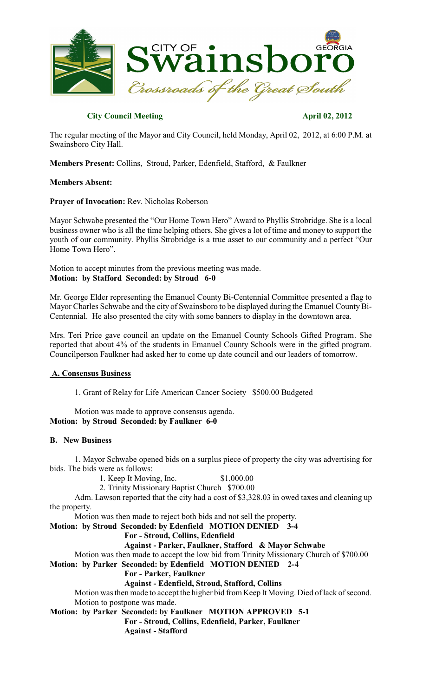

# **City Council Meeting April 02, 2012**

The regular meeting of the Mayor and City Council, held Monday, April 02, 2012, at 6:00 P.M. at Swainsboro City Hall.

**Members Present:** Collins, Stroud, Parker, Edenfield, Stafford, & Faulkner

# **Members Absent:**

## **Prayer of Invocation:** Rev. Nicholas Roberson

Mayor Schwabe presented the "Our Home Town Hero" Award to Phyllis Strobridge. She is a local business owner who is all the time helping others. She gives a lot of time and money to support the youth of our community. Phyllis Strobridge is a true asset to our community and a perfect "Our Home Town Hero".

Motion to accept minutes from the previous meeting was made. **Motion: by Stafford Seconded: by Stroud 6-0**

Mr. George Elder representing the Emanuel County Bi-Centennial Committee presented a flag to Mayor Charles Schwabe and the city of Swainsboro to be displayed during the Emanuel County Bi-Centennial. He also presented the city with some banners to display in the downtown area.

Mrs. Teri Price gave council an update on the Emanuel County Schools Gifted Program. She reported that about 4% of the students in Emanuel County Schools were in the gifted program. Councilperson Faulkner had asked her to come up date council and our leaders of tomorrow.

# **A. Consensus Business**

1. Grant of Relay for Life American Cancer Society \$500.00 Budgeted

Motion was made to approve consensus agenda. **Motion: by Stroud Seconded: by Faulkner 6-0**

#### **B. New Business**

1. Mayor Schwabe opened bids on a surplus piece of property the city was advertising for bids. The bids were as follows:

1. Keep It Moving, Inc. \$1,000.00

2. Trinity Missionary Baptist Church \$700.00

Adm. Lawson reported that the city had a cost of \$3,328.03 in owed taxes and cleaning up the property.

Motion was then made to reject both bids and not sell the property.

**Motion: by Stroud Seconded: by Edenfield MOTION DENIED 3-4**

**For - Stroud, Collins, Edenfield**

**Against - Parker, Faulkner, Stafford & Mayor Schwabe**

Motion was then made to accept the low bid from Trinity Missionary Church of \$700.00 **Motion: by Parker Seconded: by Edenfield MOTION DENIED 2-4**

# **For - Parker, Faulkner**

**Against - Edenfield, Stroud, Stafford, Collins**

Motion wasthen made to accept the higher bid from Keep It Moving. Died of lack of second. Motion to postpone was made.

**Motion: by Parker Seconded: by Faulkner MOTION APPROVED 5-1**

**For - Stroud, Collins, Edenfield, Parker, Faulkner Against - Stafford**